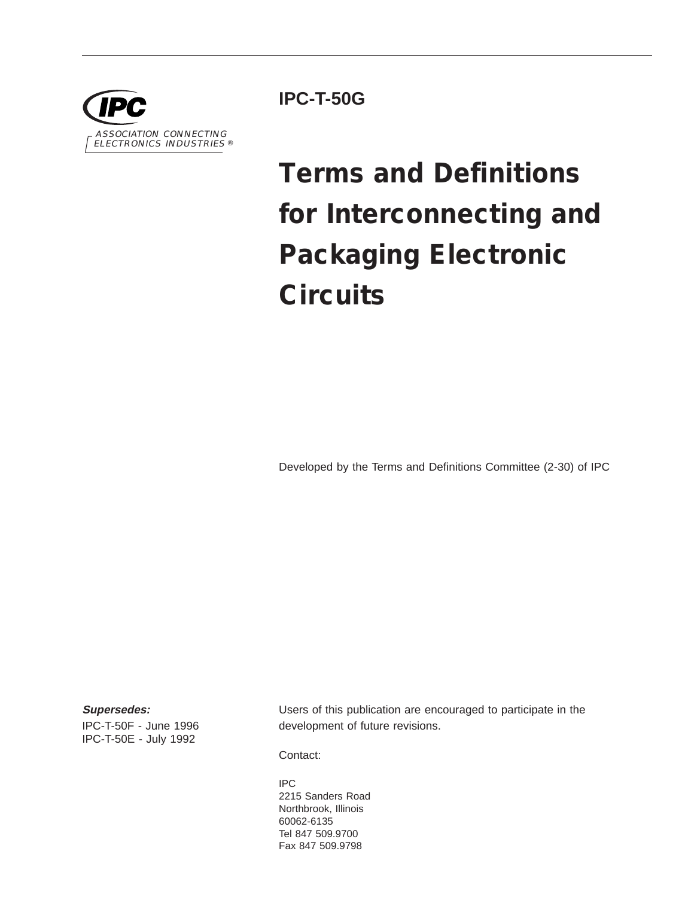

**IPC-T-50G**

# **Terms and Definitions for Interconnecting and Packaging Electronic Circuits**

Developed by the Terms and Definitions Committee (2-30) of IPC

**Supersedes:**

IPC-T-50F - June 1996 IPC-T-50E - July 1992

Users of this publication are encouraged to participate in the development of future revisions.

Contact:

IPC 2215 Sanders Road Northbrook, Illinois 60062-6135 Tel 847 509.9700 Fax 847 509.9798